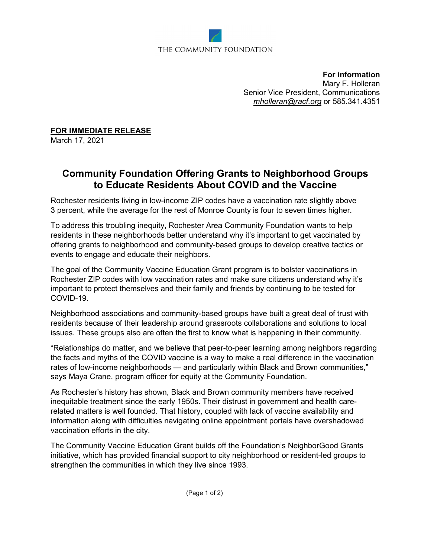

**For information** Mary F. Holleran Senior Vice President, Communications *[mholleran@racf.org](mailto:mholleran@racf.org)* or 585.341.4351

**FOR IMMEDIATE RELEASE**

March 17, 2021

## **Community Foundation Offering Grants to Neighborhood Groups to Educate Residents About COVID and the Vaccine**

Rochester residents living in low-income ZIP codes have a vaccination rate slightly above 3 percent, while the average for the rest of Monroe County is four to seven times higher.

To address this troubling inequity, Rochester Area Community Foundation wants to help residents in these neighborhoods better understand why it's important to get vaccinated by offering grants to neighborhood and community-based groups to develop creative tactics or events to engage and educate their neighbors.

The goal of the Community Vaccine Education Grant program is to bolster vaccinations in Rochester ZIP codes with low vaccination rates and make sure citizens understand why it's important to protect themselves and their family and friends by continuing to be tested for COVID-19.

Neighborhood associations and community-based groups have built a great deal of trust with residents because of their leadership around grassroots collaborations and solutions to local issues. These groups also are often the first to know what is happening in their community.

"Relationships do matter, and we believe that peer-to-peer learning among neighbors regarding the facts and myths of the COVID vaccine is a way to make a real difference in the vaccination rates of low-income neighborhoods — and particularly within Black and Brown communities," says Maya Crane, program officer for equity at the Community Foundation.

As Rochester's history has shown, Black and Brown community members have received inequitable treatment since the early 1950s. Their distrust in government and health carerelated matters is well founded. That history, coupled with lack of vaccine availability and information along with difficulties navigating online appointment portals have overshadowed vaccination efforts in the city.

The Community Vaccine Education Grant builds off the Foundation's NeighborGood Grants initiative, which has provided financial support to city neighborhood or resident-led groups to strengthen the communities in which they live since 1993.